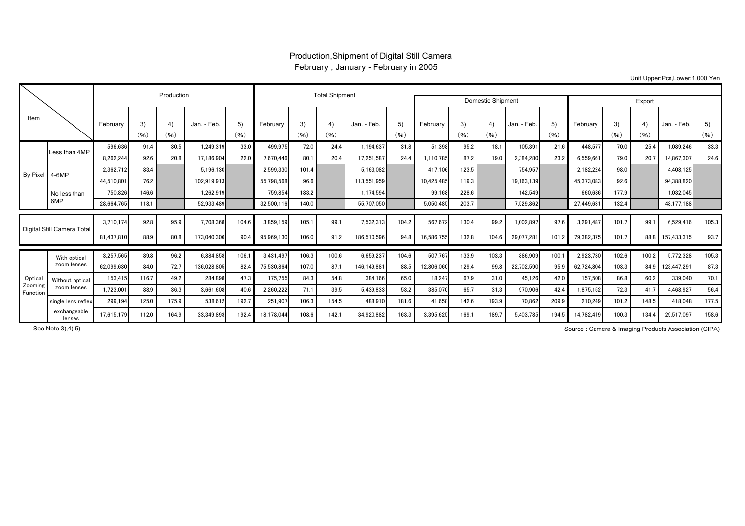## Production,Shipment of Digital Still Camera February , January - February in 2005

Unit Upper:Pcs,Lower:1,000 Yen

| Item                          |                                |                         |              | Production   |                          |               |                         | <b>Total Shipment</b> |             |                          | <b>Domestic Shipment</b> |                       | Export         |               |                        |               |                         |                |              |                          |               |
|-------------------------------|--------------------------------|-------------------------|--------------|--------------|--------------------------|---------------|-------------------------|-----------------------|-------------|--------------------------|--------------------------|-----------------------|----------------|---------------|------------------------|---------------|-------------------------|----------------|--------------|--------------------------|---------------|
|                               |                                | February                | 3)<br>(96)   | 4)<br>(96)   | Jan. - Feb.              | 5)<br>(96)    | February                | 3)<br>(96)            | 4)<br>(96)  | Jan. - Feb.              | 5)<br>(96)               | February              | 3)<br>(96)     | 4)<br>(96)    | Jan. - Feb.            | 5)<br>(96)    | February                | 3)<br>(96)     | 4)<br>(96)   | Jan. - Feb.              | 5)<br>(96)    |
| By Pixel 4-6MP                | Less than 4MP                  | 596.636                 | 91.4         | 30.5         | 1.249.319                | 33.0          | 499.975                 | 72.0                  | 24.4        | 1.194.637                | 31.8                     | 51.398                | 95.2           | 18.1          | 105,391                | 21.6          | 448.577                 | 70.0           | 25.4         | 1.089.246                | 33.3          |
|                               |                                | 8.262.244               | 92.6         | 20.8         | 17.186.904               | 22.0          | 7,670,446               | 80.1                  | 20.4        | 17.251.587               | 24.4                     | 1.110.785             | 87.2           | 19.0          | 2,384,280              | 23.2          | 6.559.66                | 79.0           | 20.7         | 14,867,307               | 24.6          |
|                               |                                | 2.362.712               | 83.4         |              | 5.196.130                |               | 2.599.330               | 101.4                 |             | 5.163.082                |                          | 417.106               | 123.5          |               | 754.957                |               | 2.182.224               | 98.0           |              | 4.408.125                |               |
|                               |                                | 44.510.801              | 76.2         |              | 102.919.913              |               | 55.798.568              | 96.6                  |             | 113.551.959              |                          | 10.425.485            | 119.3          |               | 19.163.139             |               | 45.373.083              | 92.6           |              | 94.388.820               |               |
|                               | No less than<br>6MP            | 750.826                 | 146.6        |              | 1.262.919                |               | 759.854                 | 183.2                 |             | 1.174.594                |                          | 99.168                | 228.6          |               | 142.549                |               | 660.686                 | 177.9          |              | 1.032.045                |               |
|                               |                                | 28,664,765              | 118.1        |              | 52,933,489               |               | 32.500.11               | 140.0                 |             | 55,707,050               |                          | 5,050,485             | 203.7          |               | 7,529,862              |               | 27,449,63               | 132.4          |              | 48,177,188               |               |
| Digital Still Camera Total    |                                | 3.710.174<br>81,437,810 | 92.8<br>88.9 | 95.9<br>80.8 | 7.708.368<br>173,040,306 | 104.6<br>90.4 | 3.859.159<br>95,969,130 | 105.<br>106.0         | 99.<br>91.2 | 7,532,313<br>186.510.596 | 104.2<br>94.8            | 567.672<br>16,586,755 | 130.4<br>132.8 | 99.2<br>104.6 | 1,002,897<br>29,077,28 | 97.6<br>101.2 | 3.291.487<br>79.382.375 | 101.7<br>101.7 | 99.1<br>88.8 | 6.529.416<br>157,433,315 | 105.3<br>93.7 |
|                               |                                |                         |              |              |                          |               |                         |                       |             |                          |                          |                       |                |               |                        |               |                         |                |              |                          |               |
| Optica<br>Zooming<br>Function | With optical<br>zoom lenses    | 3,257,565               | 89.8         | 96.2         | 6.884.858                | 106.1         | 3.431.497               | 106.3                 | 100.6       | 6,659,237                | 104.6                    | 507.767               | 133.9          | 103.3         | 886.909                | 100.1         | 2,923,730               | 102.6          | 100.2        | 5.772.328                | 105.3         |
|                               |                                | 62.099.630              | 84.0         | 72.7         | 136.028.805              | 82.4          | 75,530,864              | 107.0                 | 87.         | 146.149.881              | 88.5                     | 12.806.060            | 129.4          | 99.8          | 22,702,590             | 95.9          | 62.724.804              | 103.3          | 84.9         | 123.447.29               | 87.3          |
|                               | Without optical<br>zoom lenses | 153.415                 | 116.7        | 49.2         | 284.898                  | 47.3          | 175,755                 | 84.3                  | 54.8        | 384.166                  | 65.0                     | 18.247                | 67.9           | 31.0          | 45.126                 | 42.0          | 157.508                 | 86.8           | 60.2         | 339,040                  | 70.1          |
|                               |                                | 1,723,00                | 88.9         | 36.3         | 3.661.608                | 40.6          | 2.260.222               | 71.1                  | 39.5        | 5,439,833                | 53.2                     | 385.070               | 65.7           | 31.3          | 970,906                | 42.4          | 1.875.152               | 72.3           | 41.7         | 4.468.92                 | 56.4          |
|                               | single lens reflex             | 299,194                 | 125.0        | 175.9        | 538.612                  | 192.7         | 251,907                 | 106.3                 | 154.5       | 488.910                  | 181.6                    | 41.658                | 142.6          | 193.9         | 70.862                 | 209.9         | 210,249                 | 101.2          | 148.5        | 418.048                  | 177.5         |
|                               | exchangeable<br>lenses         | 17,615,179              | 112.0        | 164.9        | 33.349.893               | 192.4         | 18,178,044              | 108.6                 | 142.1       | 34.920.882               | 163.3                    | 3.395.625             | 169.           | 189.7         | 5,403,785              | 194.5         | 14.782.419              | 100.3          | 134.4        | 29,517,097               | 158.6         |

See Note 3),4),5)

Source : Camera & Imaging Products Association (CIPA)